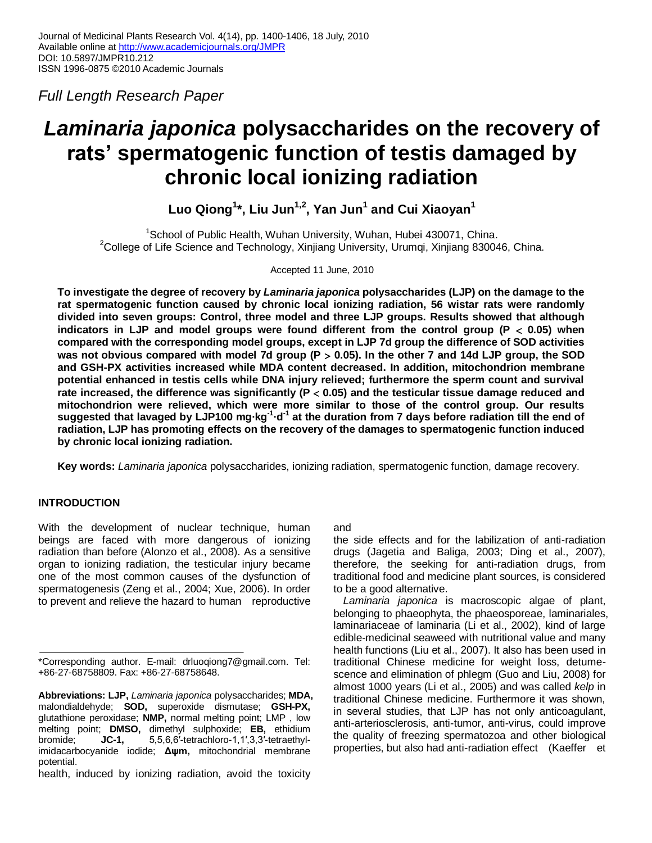*Full Length Research Paper*

# *Laminaria japonica* **polysaccharides on the recovery of rats' spermatogenic function of testis damaged by chronic local ionizing radiation**

**Luo Qiong<sup>1</sup> \*, Liu Jun1,2, Yan Jun<sup>1</sup> and Cui Xiaoyan<sup>1</sup>**

<sup>1</sup>School of Public Health, Wuhan University, Wuhan, Hubei 430071, China. <sup>2</sup>College of Life Science and Technology, Xinjiang University, Urumqi, Xinjiang 830046, China.

Accepted 11 June, 2010

**To investigate the degree of recovery by** *Laminaria japonica* **polysaccharides (LJP) on the damage to the rat spermatogenic function caused by chronic local ionizing radiation, 56 wistar rats were randomly divided into seven groups: Control, three model and three LJP groups. Results showed that although**  indicators in LJP and model groups were found different from the control group ( $P < 0.05$ ) when **compared with the corresponding model groups, except in LJP 7d group the difference of SOD activities was not obvious compared with model 7d group (P 0.05). In the other 7 and 14d LJP group, the SOD and GSH-PX activities increased while MDA content decreased. In addition, mitochondrion membrane potential enhanced in testis cells while DNA injury relieved; furthermore the sperm count and survival rate increased, the difference was significantly (P 0.05) and the testicular tissue damage reduced and mitochondrion were relieved, which were more similar to those of the control group. Our results suggested that lavaged by LJP100 mg·kg-1 ·d-1 at the duration from 7 days before radiation till the end of radiation, LJP has promoting effects on the recovery of the damages to spermatogenic function induced by chronic local ionizing radiation.**

**Key words:** *Laminaria japonica* polysaccharides, ionizing radiation, spermatogenic function, damage recovery.

# **INTRODUCTION**

With the development of nuclear technique, human beings are faced with more dangerous of ionizing radiation than before (Alonzo et al., 2008). As a sensitive organ to ionizing radiation, the testicular injury became one of the most common causes of the dysfunction of spermatogenesis (Zeng et al., 2004; Xue, 2006). In order to prevent and relieve the hazard to human reproductive

# and

the side effects and for the labilization of anti-radiation drugs (Jagetia and Baliga, 2003; Ding et al., 2007), therefore, the seeking for anti-radiation drugs, from traditional food and medicine plant sources, is considered to be a good alternative.

*Laminaria japonica* is macroscopic algae of plant, belonging to phaeophyta, the phaeosporeae, laminariales, laminariaceae of laminaria (Li et al., 2002), kind of large edible-medicinal seaweed with nutritional value and many health functions (Liu et al., 2007). It also has been used in traditional Chinese medicine for weight loss, detumescence and elimination of phlegm (Guo and Liu, 2008) for almost 1000 years (Li et al., 2005) and was called *kelp* in traditional Chinese medicine. Furthermore it was shown, in several studies, that LJP has not only anticoagulant, anti-arteriosclerosis, anti-tumor, anti-virus, could improve the quality of freezing spermatozoa and other biological properties, but also had anti-radiation effect (Kaeffer et

<sup>\*</sup>Corresponding author. E-mail: drluoqiong7@gmail.com. Tel: +86-27-68758809. Fax: +86-27-68758648.

**Abbreviations: LJP,** *Laminaria japonica* polysaccharides; **MDA,** malondialdehyde; **SOD,** superoxide dismutase; **GSH-PX,** glutathione peroxidase; **NMP,** normal melting point; LMP , low melting point; **DMSO,** dimethyl sulphoxide; **EB,** ethidium bromide; **JC-1,** 5,5,6,6′-tetrachloro-1,1′,3,3′-tetraethylimidacarbocyanide iodide; **Δψm,** mitochondrial membrane potential.

health, induced by ionizing radiation, avoid the toxicity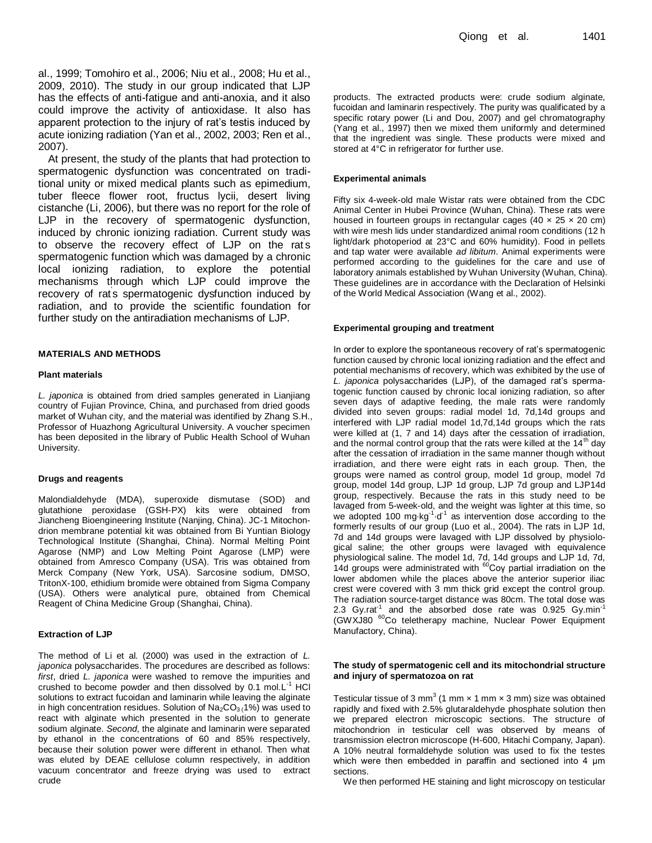al., 1999; Tomohiro et al., 2006; Niu et al., 2008; Hu et al., 2009, 2010). The study in our group indicated that LJP has the effects of anti-fatigue and anti-anoxia, and it also could improve the activity of antioxidase. It also has apparent protection to the injury of rat's testis induced by acute ionizing radiation (Yan et al., 2002, 2003; Ren et al., 2007).

At present, the study of the plants that had protection to spermatogenic dysfunction was concentrated on traditional unity or mixed medical plants such as epimedium, tuber fleece flower root, fructus lycii, desert living cistanche (Li, 2006), but there was no report for the role of LJP in the recovery of spermatogenic dysfunction, induced by chronic ionizing radiation. Current study was to observe the recovery effect of LJP on the rat's spermatogenic function which was damaged by a chronic local ionizing radiation, to explore the potential mechanisms through which LJP could improve the recovery of rat's spermatogenic dysfunction induced by radiation, and to provide the scientific foundation for further study on the antiradiation mechanisms of LJP.

## **MATERIALS AND METHODS**

## **Plant materials**

*L. japonica* is obtained from dried samples generated in Lianjiang country of Fujian Province, China, and purchased from dried goods market of Wuhan city, and the material was identified by Zhang S.H., Professor of Huazhong Agricultural University. A voucher specimen has been deposited in the library of Public Health School of Wuhan University.

## **Drugs and reagents**

Malondialdehyde (MDA), superoxide dismutase (SOD) and glutathione peroxidase (GSH-PX) kits were obtained from Jiancheng Bioengineering Institute (Nanjing, China). JC-1 Mitochondrion membrane potential kit was obtained from Bi Yuntian Biology Technological Institute (Shanghai, China). Normal Melting Point Agarose (NMP) and Low Melting Point Agarose (LMP) were obtained from Amresco Company (USA). Tris was obtained from Merck Company (New York, USA). Sarcosine sodium, DMSO, TritonX-100, ethidium bromide were obtained from Sigma Company (USA). Others were analytical pure, obtained from Chemical Reagent of China Medicine Group (Shanghai, China).

#### **Extraction of LJP**

The method of Li et al. (2000) was used in the extraction of *L. japonica* polysaccharides. The procedures are described as follows: *first*, dried *L. japonica* were washed to remove the impurities and crushed to become powder and then dissolved by  $0.1 \text{ mol}$ . L<sup>-1</sup> HCl solutions to extract fucoidan and laminarin while leaving the alginate in high concentration residues. Solution of  $Na_2CO_3$  (1%) was used to react with alginate which presented in the solution to generate sodium alginate. *Second*, the alginate and laminarin were separated by ethanol in the concentrations of 60 and 85% respectively, because their solution power were different in ethanol. Then what was eluted by DEAE cellulose column respectively, in addition vacuum concentrator and freeze drying was used to extract crude

products. The extracted products were: crude sodium alginate, fucoidan and laminarin respectively. The purity was qualificated by a specific rotary power (Li and Dou, 2007) and gel chromatography (Yang et al., 1997) then we mixed them uniformly and determined that the ingredient was single. These products were mixed and stored at 4°C in refrigerator for further use.

#### **Experimental animals**

Fifty six 4-week-old male Wistar rats were obtained from the CDC Animal Center in Hubei Province (Wuhan, China). These rats were housed in fourteen groups in rectangular cages (40  $\times$  25  $\times$  20 cm) with wire mesh lids under standardized animal room conditions (12 h light/dark photoperiod at 23°C and 60% humidity). Food in pellets and tap water were available *ad libitum*. Animal experiments were performed according to the guidelines for the care and use of laboratory animals established by Wuhan University (Wuhan, China). These guidelines are in accordance with the Declaration of Helsinki of the World Medical Association (Wang et al., 2002).

#### **Experimental grouping and treatment**

In order to explore the spontaneous recovery of rat's spermatogenic function caused by chronic local ionizing radiation and the effect and potential mechanisms of recovery, which was exhibited by the use of *L. japonica* polysaccharides (LJP), of the damaged rat's spermatogenic function caused by chronic local ionizing radiation, so after seven days of adaptive feeding, the male rats were randomly divided into seven groups: radial model 1d, 7d,14d groups and interfered with LJP radial model 1d,7d,14d groups which the rats were killed at (1, 7 and 14) days after the cessation of irradiation, and the normal control group that the rats were killed at the 14<sup>th</sup> day after the cessation of irradiation in the same manner though without irradiation, and there were eight rats in each group. Then, the groups were named as control group, model 1d group, model 7d group, model 14d group, LJP 1d group, LJP 7d group and LJP14d group, respectively. Because the rats in this study need to be lavaged from 5-week-old, and the weight was lighter at this time, so we adopted 100 mg $\cdot$ kg $^{-1}$  d<sup>-1</sup> as intervention dose according to the formerly results of our group (Luo et al., 2004). The rats in LJP 1d, 7d and 14d groups were lavaged with LJP dissolved by physiological saline; the other groups were lavaged with equivalence physiological saline. The model 1d, 7d, 14d groups and LJP 1d, 7d,  $14d$  groups were administrated with  $^{60}$ Coγ partial irradiation on the lower abdomen while the places above the anterior superior iliac crest were covered with 3 mm thick grid except the control group. The radiation source-target distance was 80cm. The total dose was 2.3 Gy.rat<sup>-1</sup> and the absorbed dose rate was 0.925 Gy.min<sup>-1</sup> (GWXJ80 <sup>60</sup>Co teletherapy machine, Nuclear Power Equipment Manufactory, China).

## **The study of spermatogenic cell and its mitochondrial structure and injury of spermatozoa on rat**

Testicular tissue of 3 mm<sup>3</sup> (1 mm  $\times$  1 mm  $\times$  3 mm) size was obtained rapidly and fixed with 2.5% glutaraldehyde phosphate solution then we prepared electron microscopic sections. The structure of mitochondrion in testicular cell was observed by means of transmission electron microscope (H-600, Hitachi Company, Japan). A 10% neutral formaldehyde solution was used to fix the testes which were then embedded in paraffin and sectioned into 4 μm sections.

We then performed HE staining and light microscopy on testicular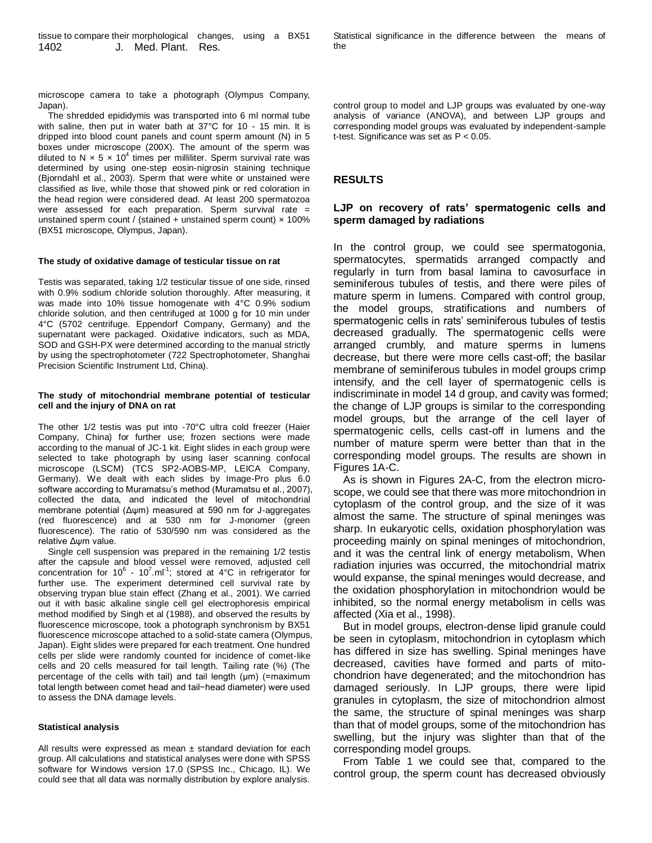microscope camera to take a photograph (Olympus Company, Japan).

The shredded epididymis was transported into 6 ml normal tube with saline, then put in water bath at 37°C for 10 - 15 min. It is dripped into blood count panels and count sperm amount (N) in 5 boxes under microscope (200X). The amount of the sperm was diluted to N  $\times$  5  $\times$  10<sup>4</sup> times per milliliter. Sperm survival rate was determined by using one-step eosin-nigrosin staining technique (Bjorndahl et al., 2003). Sperm that were white or unstained were classified as live, while those that showed pink or red coloration in the head region were considered dead. At least 200 spermatozoa were assessed for each preparation. Sperm survival rate = unstained sperm count / (stained + unstained sperm count) x 100% (BX51 microscope, Olympus, Japan).

#### **The study of oxidative damage of testicular tissue on rat**

Testis was separated, taking 1/2 testicular tissue of one side, rinsed with 0.9% sodium chloride solution thoroughly. After measuring, it was made into 10% tissue homogenate with 4°C 0.9% sodium chloride solution, and then centrifuged at 1000 g for 10 min under 4°C (5702 centrifuge. Eppendorf Company, Germany) and the supernatant were packaged. Oxidative indicators, such as MDA, SOD and GSH-PX were determined according to the manual strictly by using the spectrophotometer (722 Spectrophotometer, Shanghai Precision Scientific Instrument Ltd, China).

## **The study of mitochondrial membrane potential of testicular cell and the injury of DNA on rat**

The other 1/2 testis was put into -70°C ultra cold freezer (Haier Company, China) for further use; frozen sections were made according to the manual of JC-1 kit. Eight slides in each group were selected to take photograph by using laser scanning confocal microscope (LSCM) (TCS SP2-AOBS-MP, LEICA Company, Germany). We dealt with each slides by Image-Pro plus 6.0 software according to Muramatsu's method (Muramatsu et al., 2007), collected the data, and indicated the level of mitochondrial membrane potential (Δψm) measured at 590 nm for J-aggregates (red fluorescence) and at 530 nm for J-monomer (green fluorescence). The ratio of 530/590 nm was considered as the relative Δψm value.

Single cell suspension was prepared in the remaining 1/2 testis after the capsule and blood vessel were removed, adjusted cell concentration for 10<sup>6</sup> - 10<sup>7</sup>.ml<sup>-1</sup>; stored at 4°C in refrigerator for further use. The experiment determined cell survival rate by observing trypan blue stain effect (Zhang et al., 2001). We carried out it with basic alkaline single cell gel electrophoresis empirical method modified by Singh et al (1988), and observed the results by fluorescence microscope, took a photograph synchronism by BX51 fluorescence microscope attached to a solid-state camera (Olympus, Japan). Eight slides were prepared for each treatment. One hundred cells per slide were randomly counted for incidence of comet-like cells and 20 cells measured for tail length. Tailing rate (%) (The percentage of the cells with tail) and tail length (μm) (=maximum total length between comet head and tail−head diameter) were used to assess the DNA damage levels.

## **Statistical analysis**

All results were expressed as mean  $\pm$  standard deviation for each group. All calculations and statistical analyses were done with SPSS software for Windows version 17.0 (SPSS Inc., Chicago, IL). We could see that all data was normally distribution by explore analysis.

control group to model and LJP groups was evaluated by one-way analysis of variance (ANOVA), and between LJP groups and corresponding model groups was evaluated by independent-sample t-test. Significance was set as P < 0.05.

## **RESULTS**

# **LJP on recovery of rats' spermatogenic cells and sperm damaged by radiations**

In the control group, we could see spermatogonia, spermatocytes, spermatids arranged compactly and regularly in turn from basal lamina to cavosurface in seminiferous tubules of testis, and there were piles of mature sperm in lumens. Compared with control group, the model groups, stratifications and numbers of spermatogenic cells in rats' seminiferous tubules of testis decreased gradually. The spermatogenic cells were arranged crumbly, and mature sperms in lumens decrease, but there were more cells cast-off; the basilar membrane of seminiferous tubules in model groups crimp intensify, and the cell layer of spermatogenic cells is indiscriminate in model 14 d group, and cavity was formed; the change of LJP groups is similar to the corresponding model groups, but the arrange of the cell layer of spermatogenic cells, cells cast-off in lumens and the number of mature sperm were better than that in the corresponding model groups. The results are shown in Figures 1A-C.

As is shown in Figures 2A-C, from the electron microscope, we could see that there was more mitochondrion in cytoplasm of the control group, and the size of it was almost the same. The structure of spinal meninges was sharp. In eukaryotic cells, oxidation phosphorylation was proceeding mainly on spinal meninges of mitochondrion, and it was the central link of energy metabolism, When radiation injuries was occurred, the mitochondrial matrix would expanse, the spinal meninges would decrease, and the oxidation phosphorylation in mitochondrion would be inhibited, so the normal energy metabolism in cells was affected (Xia et al., 1998).

But in model groups, electron-dense lipid granule could be seen in cytoplasm, mitochondrion in cytoplasm which has differed in size has swelling. Spinal meninges have decreased, cavities have formed and parts of mitochondrion have degenerated; and the mitochondrion has damaged seriously. In LJP groups, there were lipid granules in cytoplasm, the size of mitochondrion almost the same, the structure of spinal meninges was sharp than that of model groups, some of the mitochondrion has swelling, but the injury was slighter than that of the corresponding model groups.

From Table 1 we could see that, compared to the control group, the sperm count has decreased obviously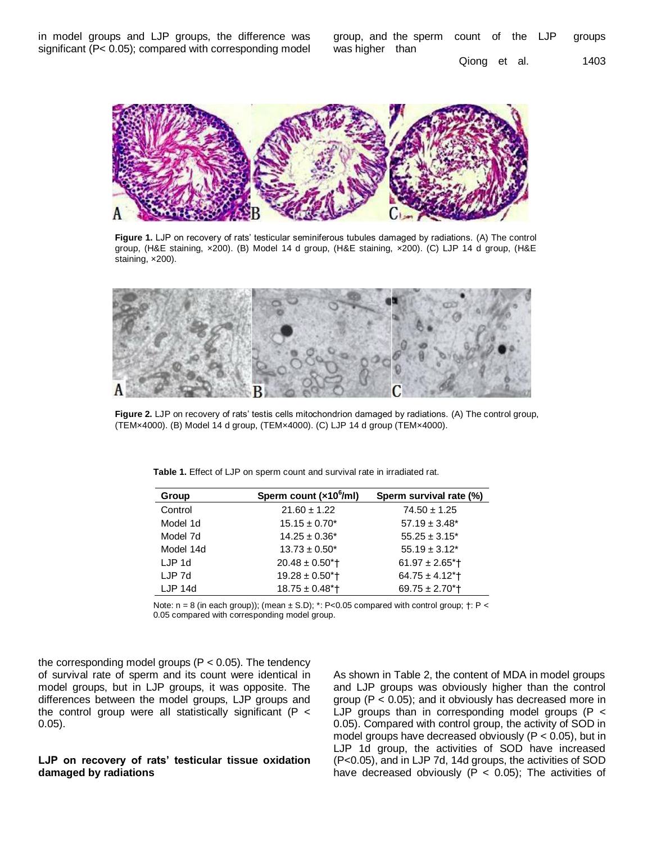in model groups and LJP groups, the difference was significant (P< 0.05); compared with corresponding model group, and the sperm count of the LJP groups was higher than

Qiong et al. 1403



**Figure 1.** LJP on recovery of rats' testicular seminiferous tubules damaged by radiations. (A) The control group, (H&E staining, ×200). (B) Model 14 d group, (H&E staining, ×200). (C) LJP 14 d group, (H&E staining, x200).



**Figure 2.** LJP on recovery of rats' testis cells mitochondrion damaged by radiations. (A) The control group, (TEM×4000). (B) Model 14 d group, (TEM×4000). (C) LJP 14 d group (TEM×4000).

**Table 1.** Effect of LJP on sperm count and survival rate in irradiated rat.

| Group     | Sperm count (x10 <sup>6</sup> /ml) | Sperm survival rate (%)         |
|-----------|------------------------------------|---------------------------------|
| Control   | $21.60 \pm 1.22$                   | $74.50 \pm 1.25$                |
| Model 1d  | $15.15 \pm 0.70^*$                 | $57.19 \pm 3.48^*$              |
| Model 7d  | $14.25 \pm 0.36^*$                 | $55.25 \pm 3.15^*$              |
| Model 14d | $13.73 \pm 0.50^*$                 | $55.19 \pm 3.12^*$              |
| $LJP$ 1d  | $20.48 \pm 0.50$ *†                | $61.97 \pm 2.65$ <sup>*</sup> t |
| LJP 7d    | $19.28 \pm 0.50$ *t                | $64.75 \pm 4.12$ *†             |
| $LJP$ 14d | $18.75 \pm 0.48$ <sup>*</sup> T    | $69.75 \pm 2.70$ *†             |

Note:  $n = 8$  (in each group)); (mean  $\pm$  S.D);  $*$ : P<0.05 compared with control group;  $\dagger$ : P < 0.05 compared with corresponding model group.

the corresponding model groups ( $P < 0.05$ ). The tendency of survival rate of sperm and its count were identical in model groups, but in LJP groups, it was opposite. The differences between the model groups, LJP groups and the control group were all statistically significant ( $P \lt$ 0.05).

# **LJP on recovery of rats' testicular tissue oxidation damaged by radiations**

As shown in Table 2, the content of MDA in model groups and LJP groups was obviously higher than the control group (P < 0.05); and it obviously has decreased more in LJP groups than in corresponding model groups ( $P <$ 0.05). Compared with control group, the activity of SOD in model groups have decreased obviously ( $P < 0.05$ ), but in LJP 1d group, the activities of SOD have increased (P<0.05), and in LJP 7d, 14d groups, the activities of SOD have decreased obviously ( $P < 0.05$ ); The activities of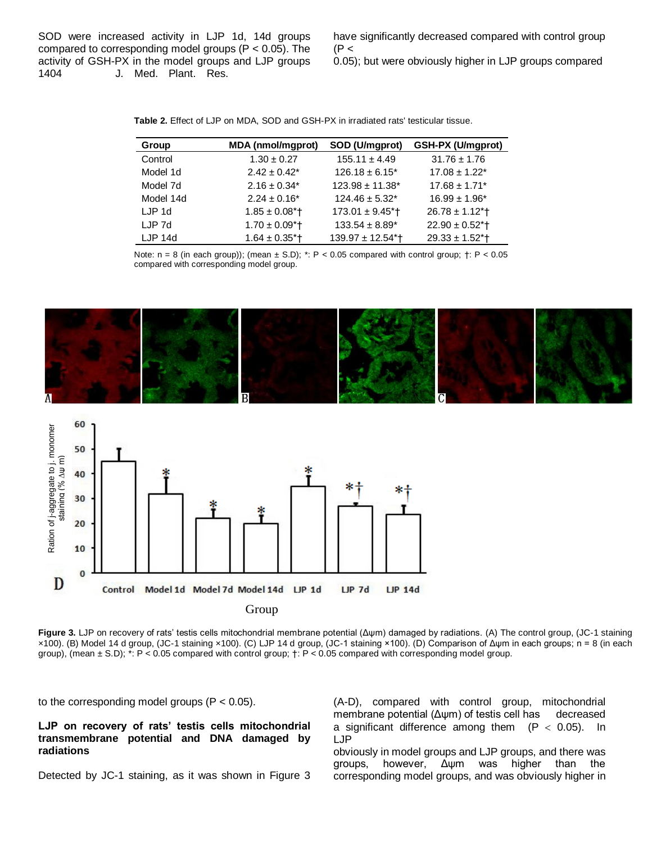SOD were increased activity in LJP 1d, 14d groups compared to corresponding model groups (P < 0.05). The activity of GSH-PX in the model groups and LJP groups 1404 J. Med. Plant. Res.

have significantly decreased compared with control group  $(P <$ 

0.05); but were obviously higher in LJP groups compared

**Table 2.** Effect of LJP on MDA, SOD and GSH-PX in irradiated rats' testicular tissue.

| Group     | <b>MDA</b> (nmol/mgprot)       | SOD (U/mgprot)                   | GSH-PX (U/mgprot)             |
|-----------|--------------------------------|----------------------------------|-------------------------------|
| Control   | $1.30 \pm 0.27$                | $155.11 \pm 4.49$                | $31.76 \pm 1.76$              |
| Model 1d  | $2.42 \pm 0.42^*$              | $126.18 \pm 6.15^*$              | $17.08 \pm 1.22$ *            |
| Model 7d  | $2.16 \pm 0.34^*$              | $123.98 \pm 11.38^*$             | $17.68 \pm 1.71$ <sup>*</sup> |
| Model 14d | $2.24 \pm 0.16^*$              | $124.46 \pm 5.32^*$              | $16.99 \pm 1.96^*$            |
| LJP 1d    | $1.85 \pm 0.08$ <sup>*</sup>   | $173.01 \pm 9.45$ <sup>*</sup> t | $26.78 \pm 1.12$ <sup>*</sup> |
| LJP 7d    | $1.70 \pm 0.09$ <sup>*</sup> t | $133.54 \pm 8.89^*$              | $22.90 \pm 0.52$ <sup>*</sup> |
| $LJP$ 14d | $1.64 \pm 0.35$ <sup>*</sup> T | 139.97 ± 12.54*†                 | $29.33 \pm 1.52$ *†           |

Note:  $n = 8$  (in each group)); (mean  $\pm$  S.D);  $\dot{ }$ : P < 0.05 compared with control group;  $\dot{ }$  +: P < 0.05 compared with corresponding model group.





**Figure 3.** LJP on recovery of rats' testis cells mitochondrial membrane potential (Δψm) damaged by radiations. (A) The control group, (JC-1 staining ×100). (B) Model 14 d group, (JC-1 staining ×100). (C) LJP 14 d group, (JC-1 staining ×100). (D) Comparison of Δψm in each groups; n = 8 (in each group), (mean ± S.D); \*: P < 0.05 compared with control group; †: P < 0.05 compared with corresponding model group.

to the corresponding model groups  $(P < 0.05)$ .

**LJP on recovery of rats' testis cells mitochondrial transmembrane potential and DNA damaged by radiations**

Detected by JC-1 staining, as it was shown in Figure 3

(A-D), compared with control group, mitochondrial membrane potential (Δψm) of testis cell has decreased a significant difference among them  $(P < 0.05)$ . In LJP

obviously in model groups and LJP groups, and there was groups, however, Δψm was higher than the corresponding model groups, and was obviously higher in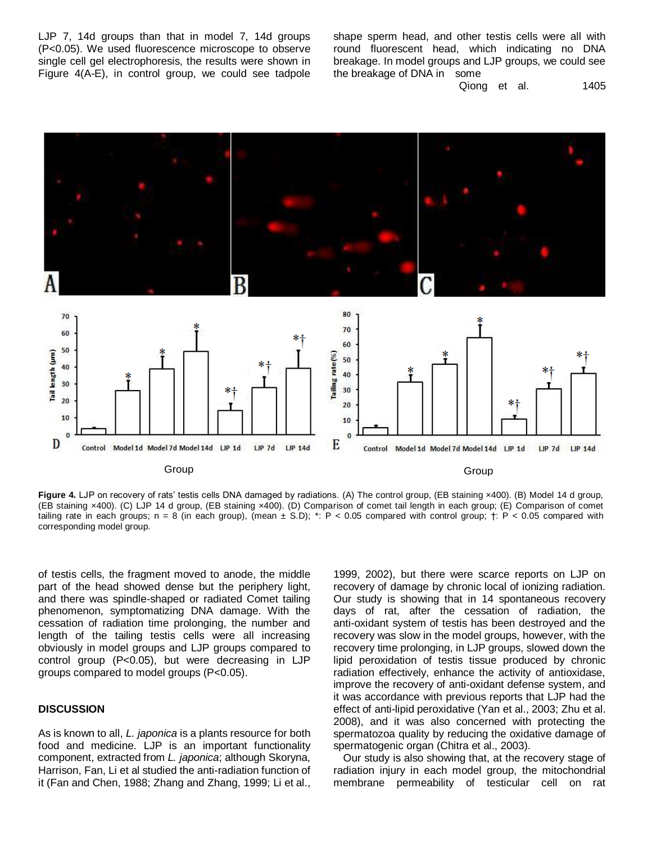LJP 7, 14d groups than that in model 7, 14d groups (P<0.05). We used fluorescence microscope to observe single cell gel electrophoresis, the results were shown in Figure 4(A-E), in control group, we could see tadpole shape sperm head, and other testis cells were all with round fluorescent head, which indicating no DNA breakage. In model groups and LJP groups, we could see the breakage of DNA in some

Qiong et al. 1405



Figure 4. LJP on recovery of rats' testis cells DNA damaged by radiations. (A) The control group, (EB staining x400). (B) Model 14 d group, (EB staining ×400). (C) LJP 14 d group, (EB staining ×400). (D) Comparison of comet tail length in each group; (E) Comparison of comet tailing rate in each groups; n = 8 (in each group), (mean  $\pm$  S.D); \*: P < 0.05 compared with control group;  $\pm$ : P < 0.05 compared with corresponding model group.

of testis cells, the fragment moved to anode, the middle part of the head showed dense but the periphery light, and there was spindle-shaped or radiated Comet tailing phenomenon, symptomatizing DNA damage. With the cessation of radiation time prolonging, the number and length of the tailing testis cells were all increasing obviously in model groups and LJP groups compared to control group (P<0.05), but were decreasing in LJP groups compared to model groups (P<0.05).

# **DISCUSSION**

As is known to all, *L. japonica* is a plants resource for both food and medicine. LJP is an important functionality component, extracted from *L. japonica*; although Skoryna, Harrison, Fan, Li et al studied the anti-radiation function of it (Fan and Chen, 1988; Zhang and Zhang, 1999; Li et al.,

1999, 2002), but there were scarce reports on LJP on recovery of damage by chronic local of ionizing radiation. Our study is showing that in 14 spontaneous recovery days of rat, after the cessation of radiation, the anti-oxidant system of testis has been destroyed and the recovery was slow in the model groups, however, with the recovery time prolonging, in LJP groups, slowed down the lipid peroxidation of testis tissue produced by chronic radiation effectively, enhance the activity of antioxidase, improve the recovery of anti-oxidant defense system, and it was accordance with previous reports that LJP had the effect of anti-lipid peroxidative (Yan et al., 2003; Zhu et al. 2008), and it was also concerned with protecting the spermatozoa quality by reducing the oxidative damage of spermatogenic organ (Chitra et al., 2003).

Our study is also showing that, at the recovery stage of radiation injury in each model group, the mitochondrial membrane permeability of testicular cell on rat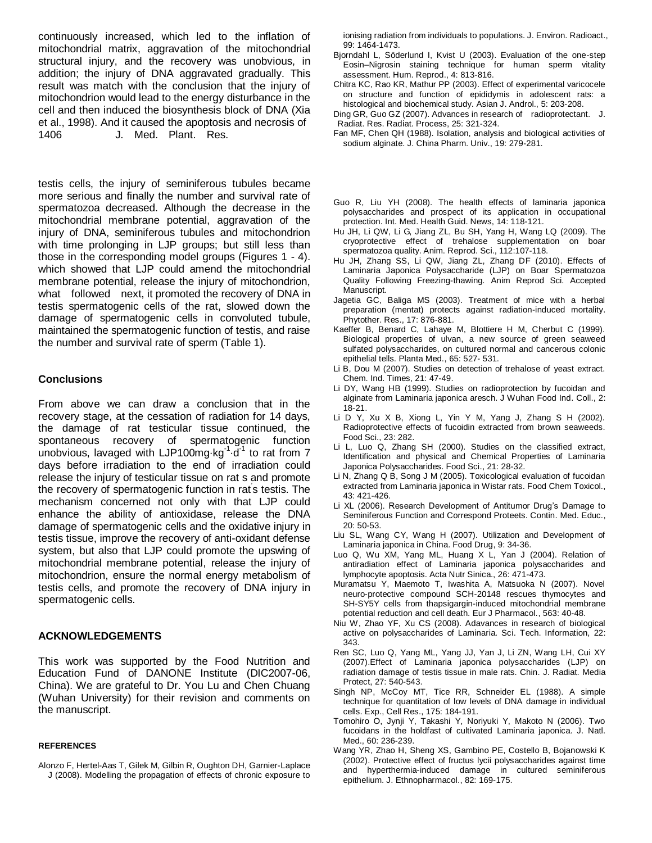continuously increased, which led to the inflation of mitochondrial matrix, aggravation of the mitochondrial structural injury, and the recovery was unobvious, in addition; the injury of DNA aggravated gradually. This result was match with the conclusion that the injury of mitochondrion would lead to the energy disturbance in the cell and then induced the biosynthesis block of DNA (Xia et al., 1998). And it caused the apoptosis and necrosis of 1406 J. Med. Plant. Res.

testis cells, the injury of seminiferous tubules became more serious and finally the number and survival rate of spermatozoa decreased. Although the decrease in the mitochondrial membrane potential, aggravation of the injury of DNA, seminiferous tubules and mitochondrion with time prolonging in LJP groups; but still less than those in the corresponding model groups (Figures 1 - 4). which showed that LJP could amend the mitochondrial membrane potential, release the injury of mitochondrion, what followed next, it promoted the recovery of DNA in testis spermatogenic cells of the rat, slowed down the damage of spermatogenic cells in convoluted tubule, maintained the spermatogenic function of testis, and raise the number and survival rate of sperm (Table 1).

# **Conclusions**

From above we can draw a conclusion that in the recovery stage, at the cessation of radiation for 14 days, the damage of rat testicular tissue continued, the spontaneous recovery of spermatogenic function unobvious, lavaged with LJP100mg kg<sup>-1</sup> d<sup>-1</sup> to rat from 7 days before irradiation to the end of irradiation could release the injury of testicular tissue on rat s and promote the recovery of spermatogenic function in rat' s testis. The mechanism concerned not only with that LJP could enhance the ability of antioxidase, release the DNA damage of spermatogenic cells and the oxidative injury in testis tissue, improve the recovery of anti-oxidant defense system, but also that LJP could promote the upswing of mitochondrial membrane potential, release the injury of mitochondrion, ensure the normal energy metabolism of testis cells, and promote the recovery of DNA injury in spermatogenic cells.

## **ACKNOWLEDGEMENTS**

This work was supported by the Food Nutrition and Education Fund of DANONE Institute (DIC2007-06, China). We are grateful to Dr. You Lu and Chen Chuang (Wuhan University) for their revision and comments on the manuscript.

## **REFERENCES**

Alonzo F, Hertel-Aas T, Gilek M, Gilbin R, Oughton DH, Garnier-Laplace J (2008). Modelling the propagation of effects of chronic exposure to

ionising radiation from individuals to populations. J. Environ. Radioact., 99: 1464-1473.

- Bjorndahl L, Söderlund I, Kvist U (2003). Evaluation of the one-step Eosin–Nigrosin staining technique for human sperm vitality assessment. Hum. Reprod., 4: 813-816.
- Chitra KC, Rao KR, Mathur PP (2003). Effect of experimental varicocele on structure and function of epididymis in adolescent rats: a histological and biochemical study. Asian J. Androl., 5: 203-208.
- Ding GR, Guo GZ (2007). Advances in research of radioprotectant. J. Radiat. Res. Radiat. Process, 25: 321-324.
- Fan MF, Chen QH (1988). Isolation, analysis and biological activities of sodium alginate. J. China Pharm. Univ., 19: 279-281.
- Guo R, Liu YH (2008). The health effects of laminaria japonica polysaccharides and prospect of its application in occupational protection. Int. Med. Health Guid. News, 14: 118-121.
- Hu JH, Li QW, Li G, Jiang ZL, Bu SH, Yang H, Wang LQ (2009). The cryoprotective effect of trehalose supplementation on boar spermatozoa quality. Anim. Reprod. Sci., 112:107-118.
- Hu JH, Zhang SS, Li QW, Jiang ZL, Zhang DF (2010). Effects of Laminaria Japonica Polysaccharide (LJP) on Boar Spermatozoa Quality Following Freezing-thawing. Anim Reprod Sci. Accepted Manuscript
- Jagetia GC, Baliga MS (2003). Treatment of mice with a herbal preparation (mentat) protects against radiation-induced mortality. Phytother. Res., 17: 876-881.
- Kaeffer B, Benard C, Lahaye M, Blottiere H M, Cherbut C (1999). Biological properties of ulvan, a new source of green seaweed sulfated polysaccharides, on cultured normal and cancerous colonic epithelial tells. Planta Med., 65: 527- 531.
- Li B, Dou M (2007). Studies on detection of trehalose of yeast extract. Chem. Ind. Times, 21: 47-49.
- Li DY, Wang HB (1999). Studies on radioprotection by fucoidan and alginate from Laminaria japonica aresch. J Wuhan Food Ind. Coll., 2: 18-21.
- Li D Y, Xu X B, Xiong L, Yin Y M, Yang J, Zhang S H (2002). Radioprotective effects of fucoidin extracted from brown seaweeds. Food Sci., 23: 282.
- Li L, Luo Q, Zhang SH (2000). Studies on the classified extract, Identification and physical and Chemical Properties of Laminaria Japonica Polysaccharides. Food Sci., 21: 28-32.
- Li N, Zhang Q B, Song J M (2005). Toxicological evaluation of fucoidan extracted from Laminaria japonica in Wistar rats. Food Chem Toxicol., 43: 421-426.
- Li XL (2006). Research Development of Antitumor Drug's Damage to Seminiferous Function and Correspond Proteets. Contin. Med. Educ., 20: 50-53.
- Liu SL, Wang CY, Wang H (2007). Utilization and Development of Laminaria japonica in China. Food Drug, 9: 34-36.
- Luo Q, Wu XM, Yang ML, Huang X L, Yan J (2004). Relation of antiradiation effect of Laminaria japonica polysaccharides and lymphocyte apoptosis. Acta Nutr Sinica., 26: 471-473.
- Muramatsu Y, Maemoto T, Iwashita A, Matsuoka N (2007). Novel neuro-protective compound SCH-20148 rescues thymocytes and SH-SY5Y cells from thapsigargin-induced mitochondrial membrane potential reduction and cell death. Eur J Pharmacol., 563: 40-48.
- Niu W, Zhao YF, Xu CS (2008). Adavances in research of biological active on polysaccharides of Laminaria. Sci. Tech. Information, 22: 343.
- Ren SC, Luo Q, Yang ML, Yang JJ, Yan J, Li ZN, Wang LH, Cui XY (2007).Effect of Laminaria japonica polysaccharides (LJP) on radiation damage of testis tissue in male rats. Chin. J. Radiat. Media Protect, 27: 540-543.
- Singh NP, McCoy MT, Tice RR, Schneider EL (1988). A simple technique for quantitation of low levels of DNA damage in individual cells. Exp., Cell Res., 175: 184-191.
- Tomohiro O, Jynji Y, Takashi Y, Noriyuki Y, Makoto N (2006). Two fucoidans in the holdfast of cultivated Laminaria japonica. J. Natl. Med., 60: 236-239.
- Wang YR, Zhao H, Sheng XS, Gambino PE, Costello B, Bojanowski K (2002). Protective effect of fructus lycii polysaccharides against time and hyperthermia-induced damage in cultured seminiferous epithelium. J. Ethnopharmacol., 82: 169-175.